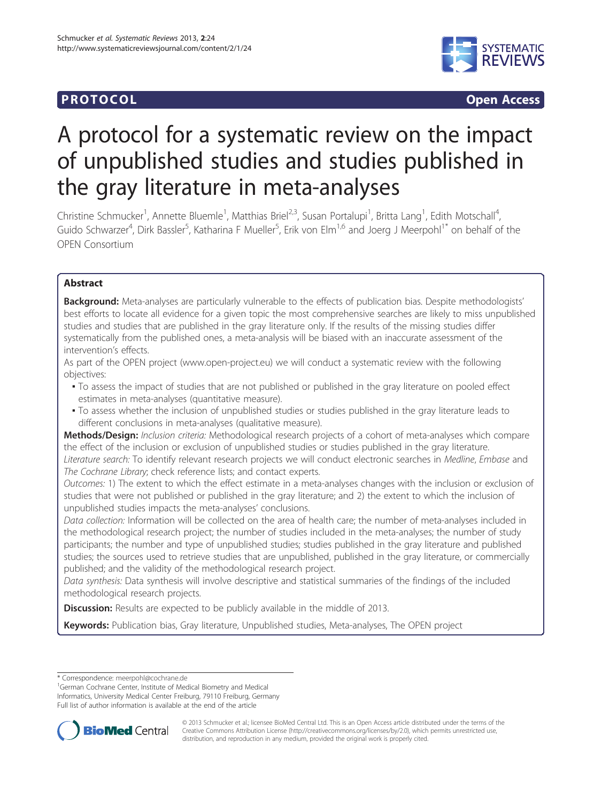## **PROTOCOL CONSUMING ACCESS**



# A protocol for a systematic review on the impact of unpublished studies and studies published in the gray literature in meta-analyses

Christine Schmucker<sup>1</sup>, Annette Bluemle<sup>1</sup>, Matthias Briel<sup>2,3</sup>, Susan Portalupi<sup>1</sup>, Britta Lang<sup>1</sup>, Edith Motschall<sup>4</sup> , Guido Schwarzer<sup>4</sup>, Dirk Bassler<sup>5</sup>, Katharina F Mueller<sup>5</sup>, Erik von Elm<sup>1,6</sup> and Joerg J Meerpohl<sup>1\*</sup> on behalf of the OPEN Consortium

## Abstract

Background: Meta-analyses are particularly vulnerable to the effects of publication bias. Despite methodologists' best efforts to locate all evidence for a given topic the most comprehensive searches are likely to miss unpublished studies and studies that are published in the gray literature only. If the results of the missing studies differ systematically from the published ones, a meta-analysis will be biased with an inaccurate assessment of the intervention's effects.

As part of the OPEN project ([www.open-project.eu](http://www.open-project.eu)) we will conduct a systematic review with the following objectives:

- To assess the impact of studies that are not published or published in the gray literature on pooled effect estimates in meta-analyses (quantitative measure).
- To assess whether the inclusion of unpublished studies or studies published in the gray literature leads to different conclusions in meta-analyses (qualitative measure).

Methods/Design: *Inclusion criteria:* Methodological research projects of a cohort of meta-analyses which compare the effect of the inclusion or exclusion of unpublished studies or studies published in the gray literature. Literature search: To identify relevant research projects we will conduct electronic searches in Medline, Embase and The Cochrane Library; check reference lists; and contact experts.

Outcomes: 1) The extent to which the effect estimate in a meta-analyses changes with the inclusion or exclusion of studies that were not published or published in the gray literature; and 2) the extent to which the inclusion of unpublished studies impacts the meta-analyses' conclusions.

Data collection: Information will be collected on the area of health care; the number of meta-analyses included in the methodological research project; the number of studies included in the meta-analyses; the number of study participants; the number and type of unpublished studies; studies published in the gray literature and published studies; the sources used to retrieve studies that are unpublished, published in the gray literature, or commercially published; and the validity of the methodological research project.

Data synthesis: Data synthesis will involve descriptive and statistical summaries of the findings of the included methodological research projects.

**Discussion:** Results are expected to be publicly available in the middle of 2013.

Keywords: Publication bias, Gray literature, Unpublished studies, Meta-analyses, The OPEN project

<sup>1</sup>German Cochrane Center, Institute of Medical Biometry and Medical Informatics, University Medical Center Freiburg, 79110 Freiburg, Germany Full list of author information is available at the end of the article



© 2013 Schmucker et al.; licensee BioMed Central Ltd. This is an Open Access article distributed under the terms of the Creative Commons Attribution License (<http://creativecommons.org/licenses/by/2.0>), which permits unrestricted use, distribution, and reproduction in any medium, provided the original work is properly cited.

<sup>\*</sup> Correspondence: [meerpohl@cochrane.de](mailto:meerpohl@cochrane.de) <sup>1</sup>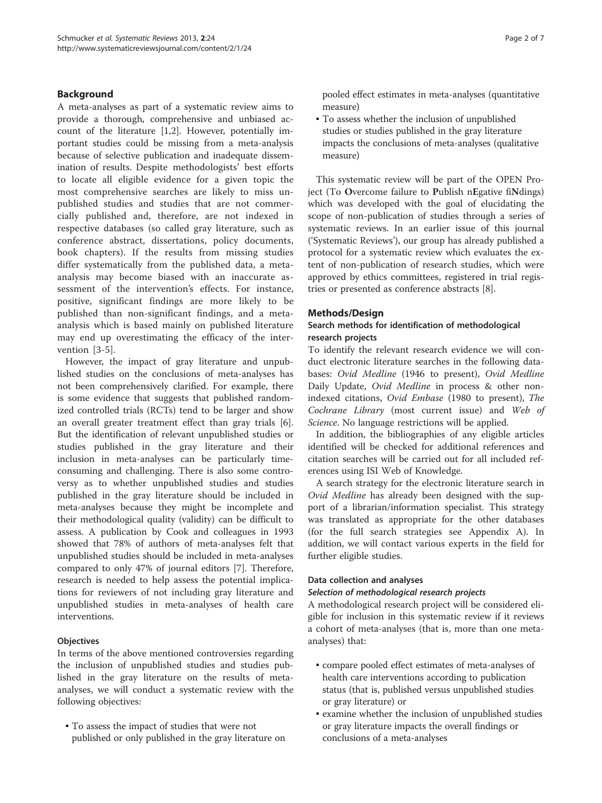## <span id="page-1-0"></span>Background

A meta-analyses as part of a systematic review aims to provide a thorough, comprehensive and unbiased account of the literature [\[1,2](#page-6-0)]. However, potentially important studies could be missing from a meta-analysis because of selective publication and inadequate dissemination of results. Despite methodologists' best efforts to locate all eligible evidence for a given topic the most comprehensive searches are likely to miss unpublished studies and studies that are not commercially published and, therefore, are not indexed in respective databases (so called gray literature, such as conference abstract, dissertations, policy documents, book chapters). If the results from missing studies differ systematically from the published data, a metaanalysis may become biased with an inaccurate assessment of the intervention's effects. For instance, positive, significant findings are more likely to be published than non-significant findings, and a metaanalysis which is based mainly on published literature may end up overestimating the efficacy of the intervention [\[3](#page-6-0)-[5\]](#page-6-0).

However, the impact of gray literature and unpublished studies on the conclusions of meta-analyses has not been comprehensively clarified. For example, there is some evidence that suggests that published randomized controlled trials (RCTs) tend to be larger and show an overall greater treatment effect than gray trials [\[6](#page-6-0)]. But the identification of relevant unpublished studies or studies published in the gray literature and their inclusion in meta-analyses can be particularly timeconsuming and challenging. There is also some controversy as to whether unpublished studies and studies published in the gray literature should be included in meta-analyses because they might be incomplete and their methodological quality (validity) can be difficult to assess. A publication by Cook and colleagues in 1993 showed that 78% of authors of meta-analyses felt that unpublished studies should be included in meta-analyses compared to only 47% of journal editors [\[7](#page-6-0)]. Therefore, research is needed to help assess the potential implications for reviewers of not including gray literature and unpublished studies in meta-analyses of health care interventions.

#### **Objectives**

In terms of the above mentioned controversies regarding the inclusion of unpublished studies and studies published in the gray literature on the results of metaanalyses, we will conduct a systematic review with the following objectives:

▪ To assess the impact of studies that were not published or only published in the gray literature on pooled effect estimates in meta-analyses (quantitative measure)

▪ To assess whether the inclusion of unpublished studies or studies published in the gray literature impacts the conclusions of meta-analyses (qualitative measure)

This systematic review will be part of the OPEN Project (To Overcome failure to Publish nEgative fiNdings) which was developed with the goal of elucidating the scope of non-publication of studies through a series of systematic reviews. In an earlier issue of this journal ('Systematic Reviews'), our group has already published a protocol for a systematic review which evaluates the extent of non-publication of research studies, which were approved by ethics committees, registered in trial registries or presented as conference abstracts [\[8](#page-6-0)].

#### Methods/Design

#### Search methods for identification of methodological research projects

To identify the relevant research evidence we will conduct electronic literature searches in the following databases: Ovid Medline (1946 to present), Ovid Medline Daily Update, Ovid Medline in process & other nonindexed citations, Ovid Embase (1980 to present), The Cochrane Library (most current issue) and Web of Science. No language restrictions will be applied.

In addition, the bibliographies of any eligible articles identified will be checked for additional references and citation searches will be carried out for all included references using ISI Web of Knowledge.

A search strategy for the electronic literature search in Ovid Medline has already been designed with the support of a librarian/information specialist. This strategy was translated as appropriate for the other databases (for the full search strategies see Appendix [A\)](#page-4-0). In addition, we will contact various experts in the field for further eligible studies.

#### Data collection and analyses

#### Selection of methodological research projects

A methodological research project will be considered eligible for inclusion in this systematic review if it reviews a cohort of meta-analyses (that is, more than one metaanalyses) that:

- compare pooled effect estimates of meta-analyses of health care interventions according to publication status (that is, published versus unpublished studies or gray literature) or
- examine whether the inclusion of unpublished studies or gray literature impacts the overall findings or conclusions of a meta-analyses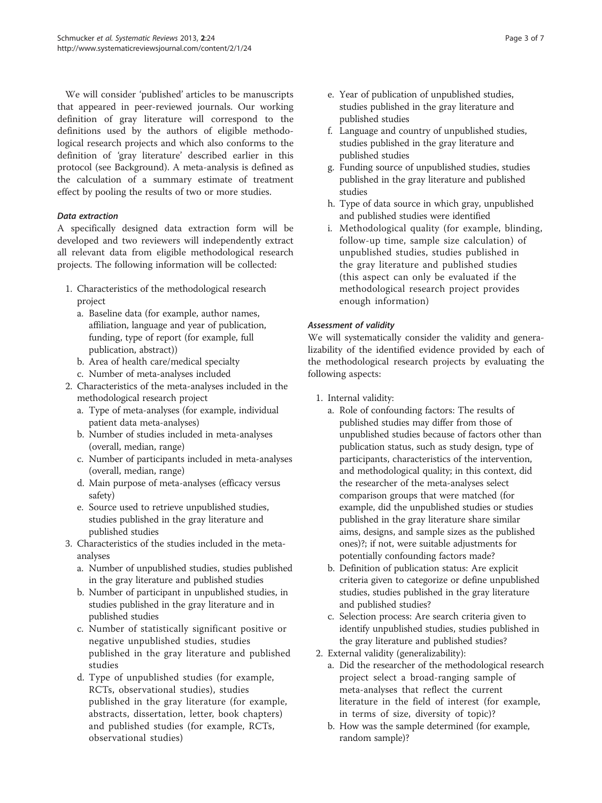We will consider 'published' articles to be manuscripts that appeared in peer-reviewed journals. Our working definition of gray literature will correspond to the definitions used by the authors of eligible methodological research projects and which also conforms to the definition of 'gray literature' described earlier in this protocol (see [Background](#page-1-0)). A meta-analysis is defined as the calculation of a summary estimate of treatment effect by pooling the results of two or more studies.

## Data extraction

A specifically designed data extraction form will be developed and two reviewers will independently extract all relevant data from eligible methodological research projects. The following information will be collected:

- 1. Characteristics of the methodological research project
	- a. Baseline data (for example, author names, affiliation, language and year of publication, funding, type of report (for example, full publication, abstract))
	- b. Area of health care/medical specialty
	- c. Number of meta-analyses included
- 2. Characteristics of the meta-analyses included in the methodological research project
	- a. Type of meta-analyses (for example, individual patient data meta-analyses)
	- b. Number of studies included in meta-analyses (overall, median, range)
	- c. Number of participants included in meta-analyses (overall, median, range)
	- d. Main purpose of meta-analyses (efficacy versus safety)
	- e. Source used to retrieve unpublished studies, studies published in the gray literature and published studies
- 3. Characteristics of the studies included in the metaanalyses
	- a. Number of unpublished studies, studies published in the gray literature and published studies
	- b. Number of participant in unpublished studies, in studies published in the gray literature and in published studies
	- c. Number of statistically significant positive or negative unpublished studies, studies published in the gray literature and published studies
	- d. Type of unpublished studies (for example, RCTs, observational studies), studies published in the gray literature (for example, abstracts, dissertation, letter, book chapters) and published studies (for example, RCTs, observational studies)
- e. Year of publication of unpublished studies, studies published in the gray literature and published studies
- f. Language and country of unpublished studies, studies published in the gray literature and published studies
- g. Funding source of unpublished studies, studies published in the gray literature and published studies
- h. Type of data source in which gray, unpublished and published studies were identified
- i. Methodological quality (for example, blinding, follow-up time, sample size calculation) of unpublished studies, studies published in the gray literature and published studies (this aspect can only be evaluated if the methodological research project provides enough information)

## Assessment of validity

We will systematically consider the validity and generalizability of the identified evidence provided by each of the methodological research projects by evaluating the following aspects:

- 1. Internal validity:
	- a. Role of confounding factors: The results of published studies may differ from those of unpublished studies because of factors other than publication status, such as study design, type of participants, characteristics of the intervention, and methodological quality; in this context, did the researcher of the meta-analyses select comparison groups that were matched (for example, did the unpublished studies or studies published in the gray literature share similar aims, designs, and sample sizes as the published ones)?; if not, were suitable adjustments for potentially confounding factors made?
	- b. Definition of publication status: Are explicit criteria given to categorize or define unpublished studies, studies published in the gray literature and published studies?
	- c. Selection process: Are search criteria given to identify unpublished studies, studies published in the gray literature and published studies?
- 2. External validity (generalizability):
	- a. Did the researcher of the methodological research project select a broad-ranging sample of meta-analyses that reflect the current literature in the field of interest (for example, in terms of size, diversity of topic)?
	- b. How was the sample determined (for example, random sample)?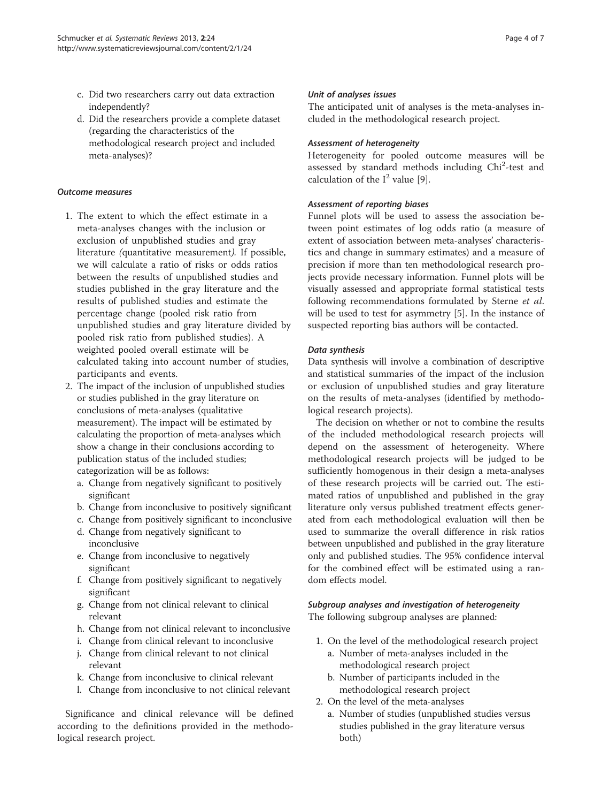- c. Did two researchers carry out data extraction independently?
- d. Did the researchers provide a complete dataset (regarding the characteristics of the methodological research project and included meta-analyses)?

#### Outcome measures

- 1. The extent to which the effect estimate in a meta-analyses changes with the inclusion or exclusion of unpublished studies and gray literature (quantitative measurement). If possible, we will calculate a ratio of risks or odds ratios between the results of unpublished studies and studies published in the gray literature and the results of published studies and estimate the percentage change (pooled risk ratio from unpublished studies and gray literature divided by pooled risk ratio from published studies). A weighted pooled overall estimate will be calculated taking into account number of studies, participants and events.
- 2. The impact of the inclusion of unpublished studies or studies published in the gray literature on conclusions of meta-analyses (qualitative measurement). The impact will be estimated by calculating the proportion of meta-analyses which show a change in their conclusions according to publication status of the included studies; categorization will be as follows:
	- a. Change from negatively significant to positively significant
	- b. Change from inconclusive to positively significant
	- c. Change from positively significant to inconclusive
	- d. Change from negatively significant to inconclusive
	- e. Change from inconclusive to negatively significant
	- f. Change from positively significant to negatively significant
	- g. Change from not clinical relevant to clinical relevant
	- h. Change from not clinical relevant to inconclusive
	- i. Change from clinical relevant to inconclusive
	- j. Change from clinical relevant to not clinical relevant
	- k. Change from inconclusive to clinical relevant
	- l. Change from inconclusive to not clinical relevant

Significance and clinical relevance will be defined according to the definitions provided in the methodological research project.

#### Unit of analyses issues

The anticipated unit of analyses is the meta-analyses included in the methodological research project.

#### Assessment of heterogeneity

Heterogeneity for pooled outcome measures will be assessed by standard methods including Chi<sup>2</sup>-test and calculation of the  $I^2$  value [[9\]](#page-6-0).

## Assessment of reporting biases

Funnel plots will be used to assess the association between point estimates of log odds ratio (a measure of extent of association between meta-analyses' characteristics and change in summary estimates) and a measure of precision if more than ten methodological research projects provide necessary information. Funnel plots will be visually assessed and appropriate formal statistical tests following recommendations formulated by Sterne et al. will be used to test for asymmetry [\[5](#page-6-0)]. In the instance of suspected reporting bias authors will be contacted.

## Data synthesis

Data synthesis will involve a combination of descriptive and statistical summaries of the impact of the inclusion or exclusion of unpublished studies and gray literature on the results of meta-analyses (identified by methodological research projects).

The decision on whether or not to combine the results of the included methodological research projects will depend on the assessment of heterogeneity. Where methodological research projects will be judged to be sufficiently homogenous in their design a meta-analyses of these research projects will be carried out. The estimated ratios of unpublished and published in the gray literature only versus published treatment effects generated from each methodological evaluation will then be used to summarize the overall difference in risk ratios between unpublished and published in the gray literature only and published studies. The 95% confidence interval for the combined effect will be estimated using a random effects model.

## Subgroup analyses and investigation of heterogeneity

The following subgroup analyses are planned:

- 1. On the level of the methodological research project
	- a. Number of meta-analyses included in the methodological research project
	- b. Number of participants included in the methodological research project
- 2. On the level of the meta-analyses
	- a. Number of studies (unpublished studies versus studies published in the gray literature versus both)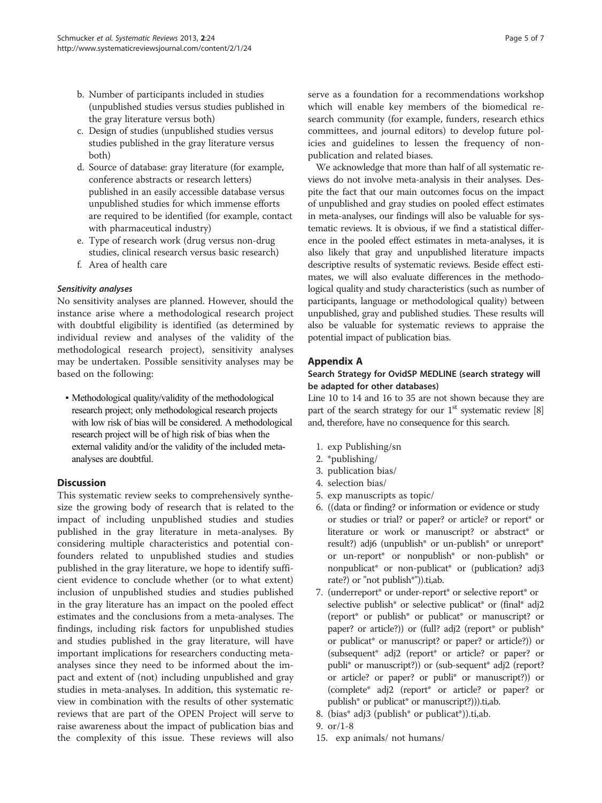- <span id="page-4-0"></span>b. Number of participants included in studies (unpublished studies versus studies published in the gray literature versus both)
- c. Design of studies (unpublished studies versus studies published in the gray literature versus both)
- d. Source of database: gray literature (for example, conference abstracts or research letters) published in an easily accessible database versus unpublished studies for which immense efforts are required to be identified (for example, contact with pharmaceutical industry)
- e. Type of research work (drug versus non-drug studies, clinical research versus basic research)
- f. Area of health care

## Sensitivity analyses

No sensitivity analyses are planned. However, should the instance arise where a methodological research project with doubtful eligibility is identified (as determined by individual review and analyses of the validity of the methodological research project), sensitivity analyses may be undertaken. Possible sensitivity analyses may be based on the following:

▪ Methodological quality/validity of the methodological research project; only methodological research projects with low risk of bias will be considered. A methodological research project will be of high risk of bias when the external validity and/or the validity of the included metaanalyses are doubtful.

## **Discussion**

This systematic review seeks to comprehensively synthesize the growing body of research that is related to the impact of including unpublished studies and studies published in the gray literature in meta-analyses. By considering multiple characteristics and potential confounders related to unpublished studies and studies published in the gray literature, we hope to identify sufficient evidence to conclude whether (or to what extent) inclusion of unpublished studies and studies published in the gray literature has an impact on the pooled effect estimates and the conclusions from a meta-analyses. The findings, including risk factors for unpublished studies and studies published in the gray literature, will have important implications for researchers conducting metaanalyses since they need to be informed about the impact and extent of (not) including unpublished and gray studies in meta-analyses. In addition, this systematic review in combination with the results of other systematic reviews that are part of the OPEN Project will serve to raise awareness about the impact of publication bias and the complexity of this issue. These reviews will also serve as a foundation for a recommendations workshop which will enable key members of the biomedical research community (for example, funders, research ethics committees, and journal editors) to develop future policies and guidelines to lessen the frequency of nonpublication and related biases.

We acknowledge that more than half of all systematic reviews do not involve meta-analysis in their analyses. Despite the fact that our main outcomes focus on the impact of unpublished and gray studies on pooled effect estimates in meta-analyses, our findings will also be valuable for systematic reviews. It is obvious, if we find a statistical difference in the pooled effect estimates in meta-analyses, it is also likely that gray and unpublished literature impacts descriptive results of systematic reviews. Beside effect estimates, we will also evaluate differences in the methodological quality and study characteristics (such as number of participants, language or methodological quality) between unpublished, gray and published studies. These results will also be valuable for systematic reviews to appraise the potential impact of publication bias.

## Appendix A

## Search Strategy for OvidSP MEDLINE (search strategy will be adapted for other databases)

Line 10 to 14 and 16 to 35 are not shown because they are part of the search strategy for our  $1<sup>st</sup>$  systematic review [\[8](#page-6-0)] and, therefore, have no consequence for this search.

- 1. exp Publishing/sn
- 2. \*publishing/
- 3. publication bias/
- 4. selection bias/
- 5. exp manuscripts as topic/
- 6. ((data or finding? or information or evidence or study or studies or trial? or paper? or article? or report\* or literature or work or manuscript? or abstract\* or result?) adj6 (unpublish\* or un-publish\* or unreport\* or un-report\* or nonpublish\* or non-publish\* or nonpublicat\* or non-publicat\* or (publication? adj3 rate?) or "not publish\*")).ti,ab.
- 7. (underreport\* or under-report\* or selective report\* or selective publish\* or selective publicat\* or (final\* adj2 (report\* or publish\* or publicat\* or manuscript? or paper? or article?)) or (full? adj2 (report\* or publish\* or publicat\* or manuscript? or paper? or article?)) or (subsequent\* adj2 (report\* or article? or paper? or publi\* or manuscript?)) or (sub-sequent\* adj2 (report? or article? or paper? or publi\* or manuscript?)) or (complete\* adj2 (report\* or article? or paper? or publish<sup>\*</sup> or publicat<sup>\*</sup> or manuscript?))).ti,ab.
- 8. (bias\* adj3 (publish\* or publicat\*)).ti,ab.
- 9. or/1-8
- 15. exp animals/ not humans/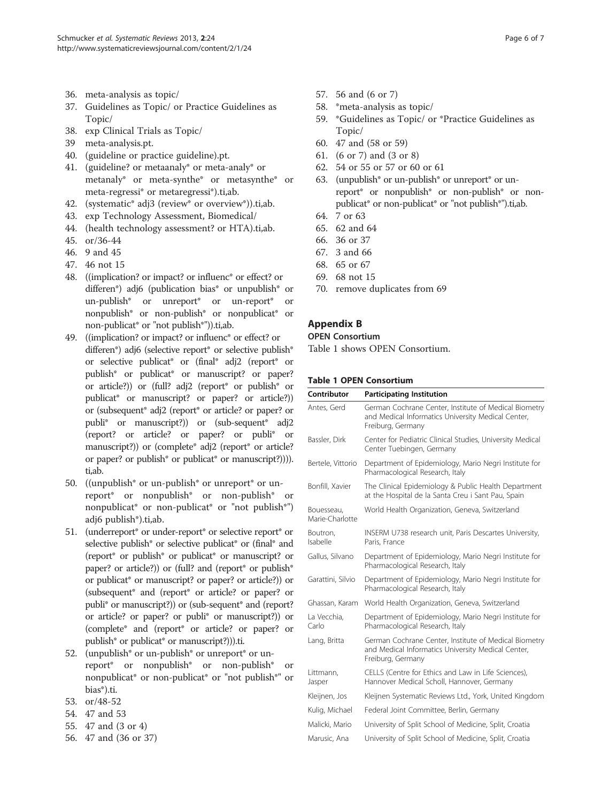- 36. meta-analysis as topic/
- 37. Guidelines as Topic/ or Practice Guidelines as Topic/
- 38. exp Clinical Trials as Topic/
- 39 meta-analysis.pt.
- 40. (guideline or practice guideline).pt.
- 41. (guideline? or metaanaly\* or meta-analy\* or metanaly\* or meta-synthe\* or metasynthe\* or meta-regressi\* or metaregressi\*).ti,ab.
- 42. (systematic\* adj3 (review\* or overview\*)).ti,ab.
- 43. exp Technology Assessment, Biomedical/
- 44. (health technology assessment? or HTA).ti,ab.
- 45. or/36-44
- 46. 9 and 45
- 47. 46 not 15
- 48. ((implication? or impact? or influenc\* or effect? or differen\*) adj6 (publication bias\* or unpublish\* or un-publish\* or unreport\* or un-report\* or nonpublish\* or non-publish\* or nonpublicat\* or non-publicat\* or "not publish\*")).ti,ab.
- 49. ((implication? or impact? or influenc\* or effect? or differen\*) adj6 (selective report\* or selective publish\* or selective publicat\* or (final\* adj2 (report\* or publish\* or publicat\* or manuscript? or paper? or article?)) or (full? adj2 (report\* or publish\* or publicat\* or manuscript? or paper? or article?)) or (subsequent\* adj2 (report\* or article? or paper? or publi\* or manuscript?)) or (sub-sequent\* adj2 (report? or article? or paper? or publi\* or manuscript?)) or (complete\* adj2 (report\* or article? or paper? or publish\* or publicat\* or manuscript?)))). ti,ab.
- 50. ((unpublish\* or un-publish\* or unreport\* or unreport\* or nonpublish\* or non-publish\* or nonpublicat\* or non-publicat\* or "not publish\*") adj6 publish\*).ti,ab.
- 51. (underreport\* or under-report\* or selective report\* or selective publish<sup>\*</sup> or selective publicat<sup>\*</sup> or (final<sup>\*</sup> and (report\* or publish\* or publicat\* or manuscript? or paper? or article?)) or (full? and (report\* or publish\* or publicat\* or manuscript? or paper? or article?)) or (subsequent\* and (report\* or article? or paper? or publi\* or manuscript?)) or (sub-sequent\* and (report? or article? or paper? or publi\* or manuscript?)) or (complete\* and (report\* or article? or paper? or publish\* or publicat\* or manuscript?))).ti.
- 52. (unpublish\* or un-publish\* or unreport\* or unreport\* or nonpublish\* or non-publish\* or nonpublicat\* or non-publicat\* or "not publish\*" or bias\*).ti.
- 53. or/48-52
- 54. 47 and 53
- 55. 47 and (3 or 4)
- 56. 47 and (36 or 37)
- 57. 56 and (6 or 7)
- 58. \*meta-analysis as topic/
- 59. \*Guidelines as Topic/ or \*Practice Guidelines as Topic/
- 60. 47 and (58 or 59)
- 61. (6 or 7) and (3 or 8)
- 62. 54 or 55 or 57 or 60 or 61
- 63. (unpublish\* or un-publish\* or unreport\* or unreport\* or nonpublish\* or non-publish\* or nonpublicat\* or non-publicat\* or "not publish\*").ti,ab.
- 64. 7 or 63
- 65. 62 and 64
- 66. 36 or 37
- 67. 3 and 66
- 68. 65 or 67
- 69. 68 not 15
- 70. remove duplicates from 69

#### Appendix B

#### OPEN Consortium

Table 1 shows OPEN Consortium.

#### Table 1 OPEN Consortium

| Contributor                   | <b>Participating Institution</b>                                                                                                 |
|-------------------------------|----------------------------------------------------------------------------------------------------------------------------------|
| Antes, Gerd                   | German Cochrane Center, Institute of Medical Biometry<br>and Medical Informatics University Medical Center,<br>Freiburg, Germany |
| Bassler, Dirk                 | Center for Pediatric Clinical Studies, University Medical<br>Center Tuebingen, Germany                                           |
| Bertele, Vittorio             | Department of Epidemiology, Mario Negri Institute for<br>Pharmacological Research, Italy                                         |
| Bonfill, Xavier               | The Clinical Epidemiology & Public Health Department<br>at the Hospital de la Santa Creu i Sant Pau, Spain                       |
| Bouesseau,<br>Marie-Charlotte | World Health Organization, Geneva, Switzerland                                                                                   |
| Boutron,<br>Isabelle          | INSERM U738 research unit, Paris Descartes University,<br>Paris, France                                                          |
| Gallus, Silvano               | Department of Epidemiology, Mario Negri Institute for<br>Pharmacological Research, Italy                                         |
| Garattini, Silvio             | Department of Epidemiology, Mario Negri Institute for<br>Pharmacological Research, Italy                                         |
| Ghassan, Karam                | World Health Organization, Geneva, Switzerland                                                                                   |
| La Vecchia,<br>Carlo          | Department of Epidemiology, Mario Negri Institute for<br>Pharmacological Research, Italy                                         |
| Lang, Britta                  | German Cochrane Center, Institute of Medical Biometry<br>and Medical Informatics University Medical Center,<br>Freiburg, Germany |
| Littmann,<br>Jasper           | CELLS (Centre for Ethics and Law in Life Sciences),<br>Hannover Medical Scholl, Hannover, Germany                                |
| Kleijnen, Jos                 | Kleijnen Systematic Reviews Ltd., York, United Kingdom                                                                           |
| Kulig, Michael                | Federal Joint Committee, Berlin, Germany                                                                                         |
| Malicki, Mario                | University of Split School of Medicine, Split, Croatia                                                                           |
| Marusic, Ana                  | University of Split School of Medicine, Split, Croatia                                                                           |